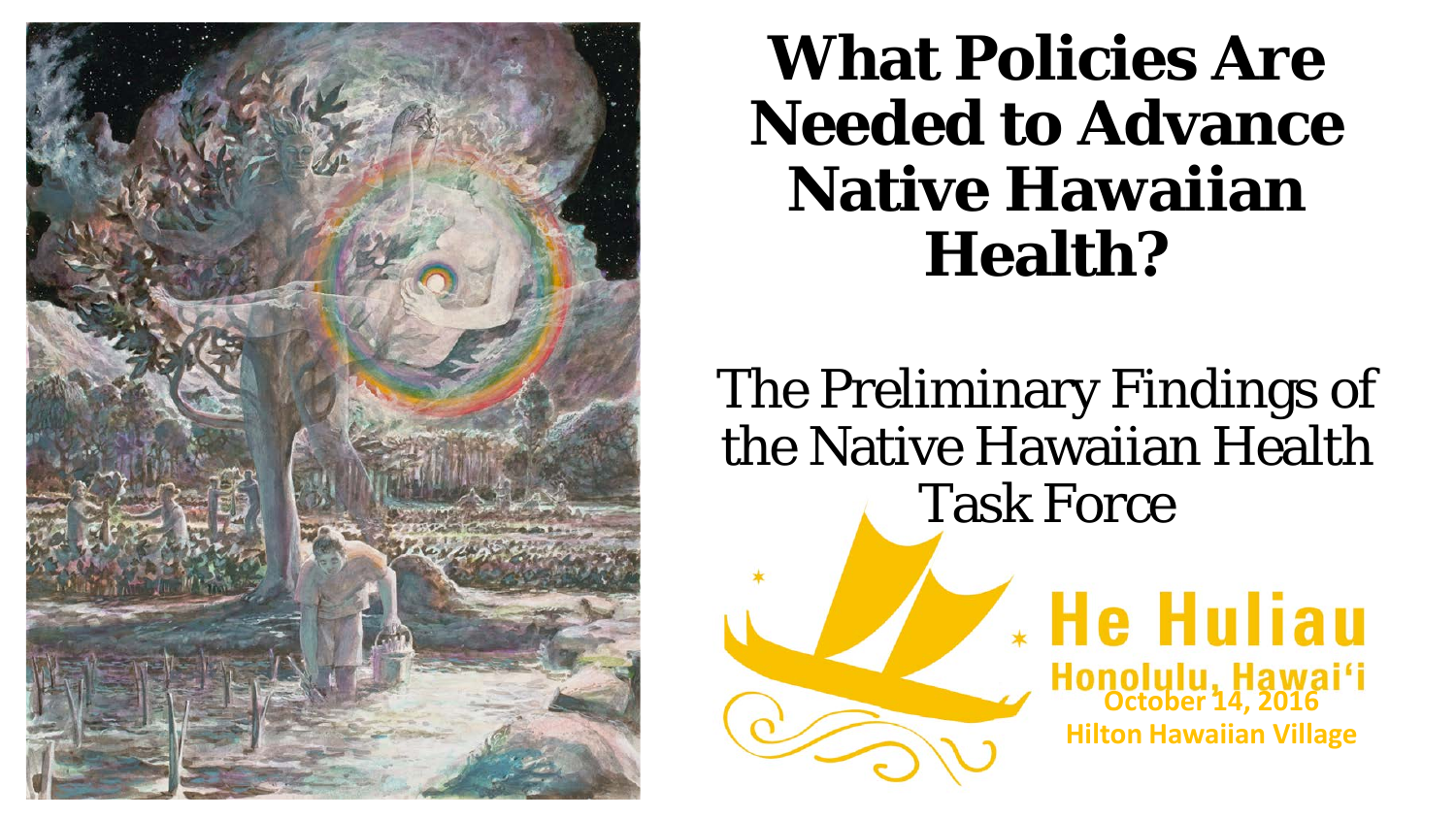

#### **What Policies Are Needed to Advance Native Hawaiian Health?**

The Preliminary Findings of the Native Hawaiian Health Task Force

**Honolulu, Hawai'i**<br>October 14, 2016

**\* He Huliau** 

**Hilton Hawaiian Village**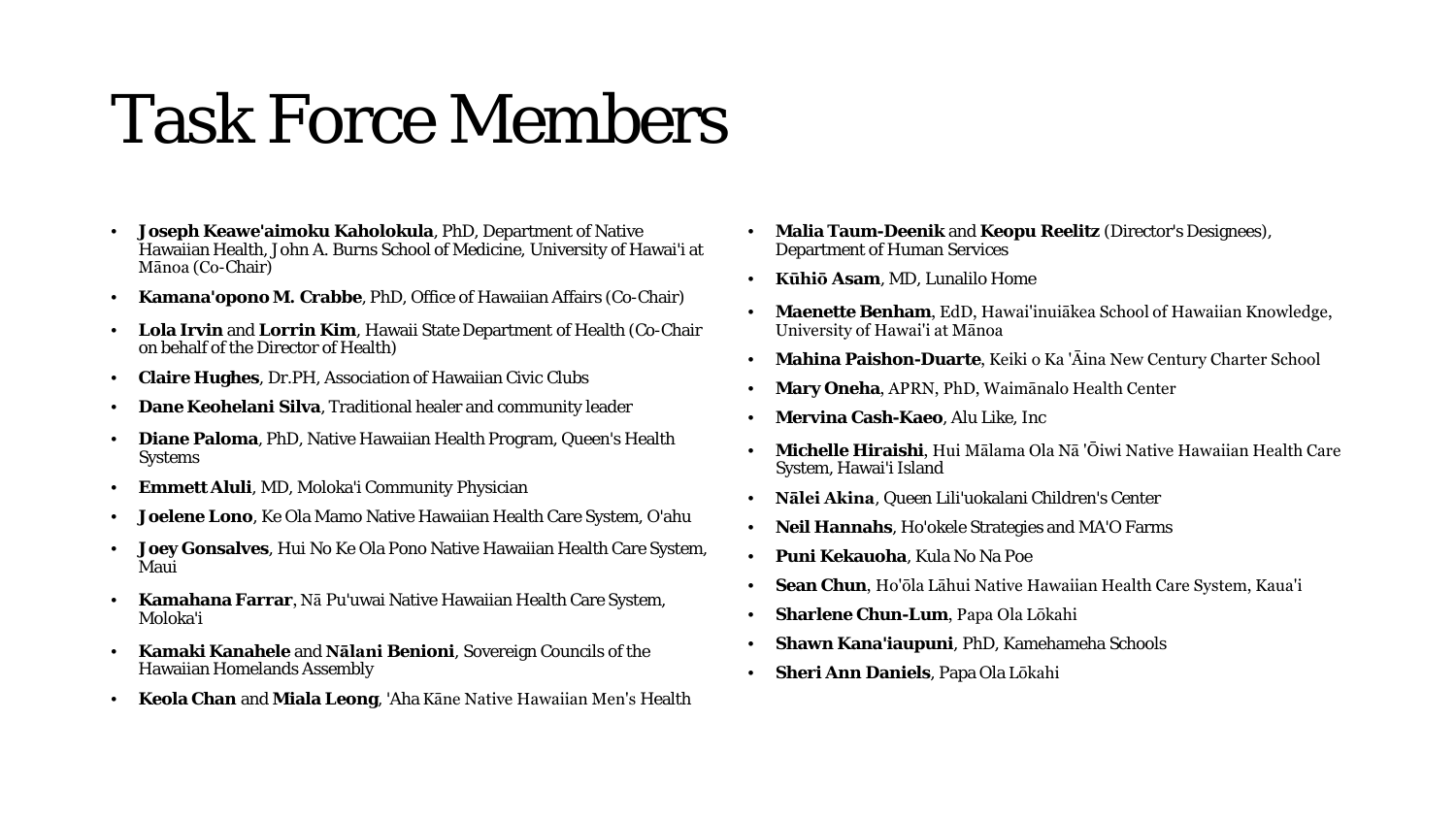### Task Force Members

- **Joseph Keawe'aimoku Kaholokula**, PhD, Department of Native Hawaiian Health, John A. Burns School of Medicine, University of Hawai'i at Mānoa (Co-Chair)
- **Kamana'opono M. Crabbe**, PhD, Office of Hawaiian Affairs (Co-Chair)
- **Lola Irvin** and **Lorrin Kim**, Hawaii State Department of Health (Co-Chair on behalf of the Director of Health)
- **Claire Hughes**, Dr.PH, Association of Hawaiian Civic Clubs
- **Dane Keohelani Silva**, Traditional healer and community leader
- **Diane Paloma**, PhD, Native Hawaiian Health Program, Queen's Health Systems
- **Emmett Aluli**, MD, Moloka'i Community Physician
- **Joelene Lono**, Ke Ola Mamo Native Hawaiian Health Care System, O'ahu
- **Joey Gonsalves**, Hui No Ke Ola Pono Native Hawaiian Health Care System, Maui
- **Kamahana Farrar**, Nā Pu'uwai Native Hawaiian Health Care System, Moloka'i
- **Kamaki Kanahele** and **Nālani Benioni**, Sovereign Councils of the Hawaiian Homelands Assembly
- **Keola Chan** and **Miala Leong**, 'Aha Kāne Native Hawaiian Men's Health
- **Malia Taum-Deenik** and **Keopu Reelitz** (Director's Designees), Department of Human Services
- **Kūhiō Asam**, MD, Lunalilo Home
- **Maenette Benham**, EdD, Hawai'inuiākea School of Hawaiian Knowledge, University of Hawai'i at Mānoa
- **Mahina Paishon-Duarte**, Keiki o Ka 'Āina New Century Charter School
- **Mary Oneha**, APRN, PhD, Waimānalo Health Center
- **Mervina Cash-Kaeo**, Alu Like, Inc
- **Michelle Hiraishi**, Hui Mālama Ola Nā 'Ōiwi Native Hawaiian Health Care System, Hawai'i Island
- **Nālei Akina**, Queen Lili'uokalani Children's Center
- **Neil Hannahs**, Ho'okele Strategies and MA'O Farms
- **Puni Kekauoha**, Kula No Na Poe
- **Sean Chun**, Ho'ōla Lāhui Native Hawaiian Health Care System, Kaua'i
- **Sharlene Chun-Lum**, Papa Ola Lōkahi
- **Shawn Kana'iaupuni**, PhD, Kamehameha Schools
- **Sheri Ann Daniels**, Papa Ola Lōkahi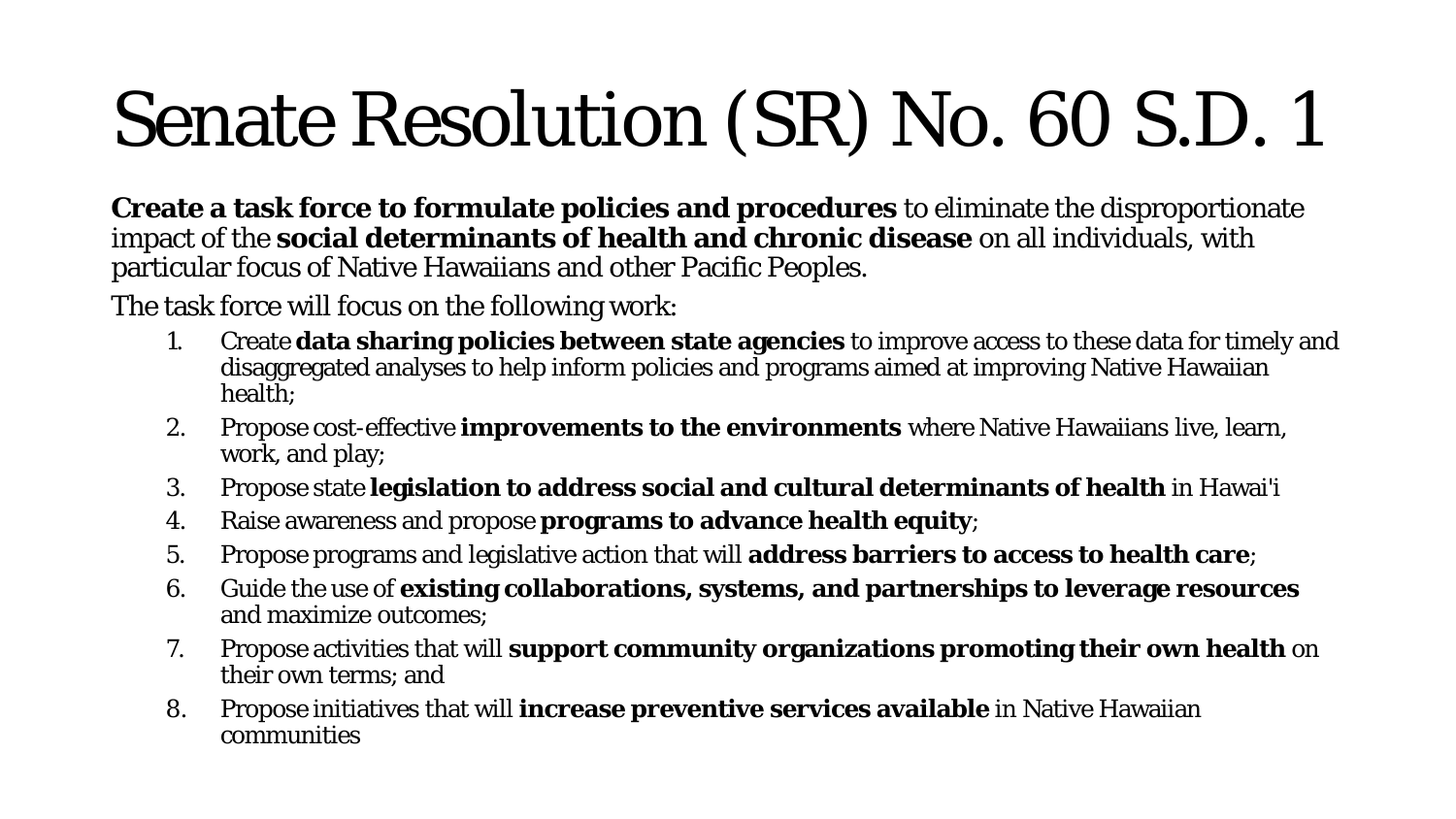# Senate Resolution (SR) No. 60 S.D. 1

**Create a task force to formulate policies and procedures** to eliminate the disproportionate impact of the **social determinants of health and chronic disease** on all individuals, with particular focus of Native Hawaiians and other Pacific Peoples.

The task force will focus on the following work:

- 1. Create **data sharing policies between state agencies** to improve access to these data for timely and disaggregated analyses to help inform policies and programs aimed at improving Native Hawaiian health;
- 2. Propose cost-effective **improvements to the environments** where Native Hawaiians live, learn, work, and play;
- 3. Propose state **legislation to address social and cultural determinants of health** in Hawai'i
- 4. Raise awareness and propose **programs to advance health equity**;
- 5. Propose programs and legislative action that will **address barriers to access to health care**;
- 6. Guide the use of **existing collaborations, systems, and partnerships to leverage resources** and maximize outcomes;
- 7. Propose activities that will **support community organizations promoting their own health** on their own terms; and
- 8. Propose initiatives that will **increase preventive services available** in Native Hawaiian communities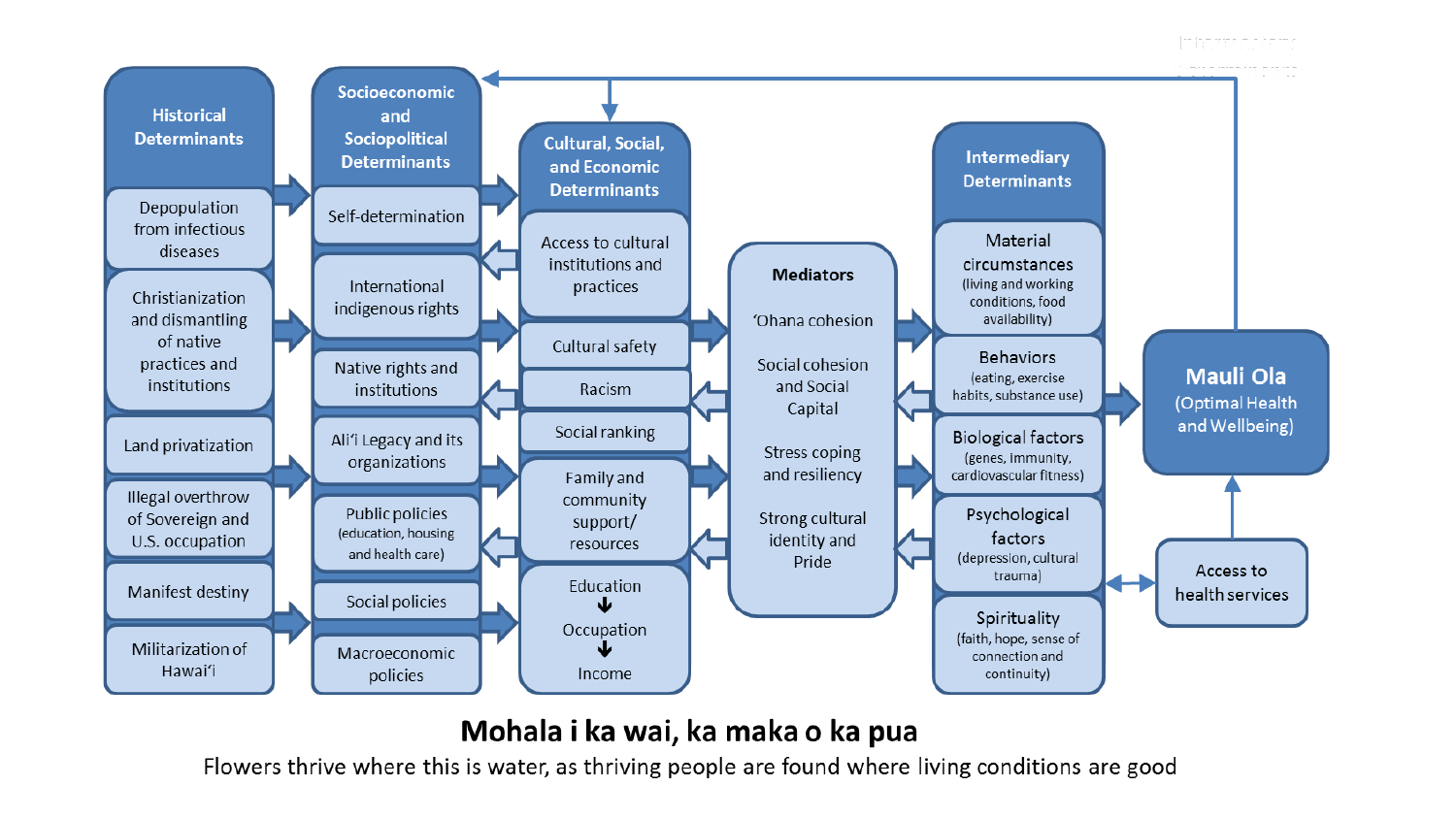

#### Mohala i ka wai, ka maka o ka pua

Flowers thrive where this is water, as thriving people are found where living conditions are good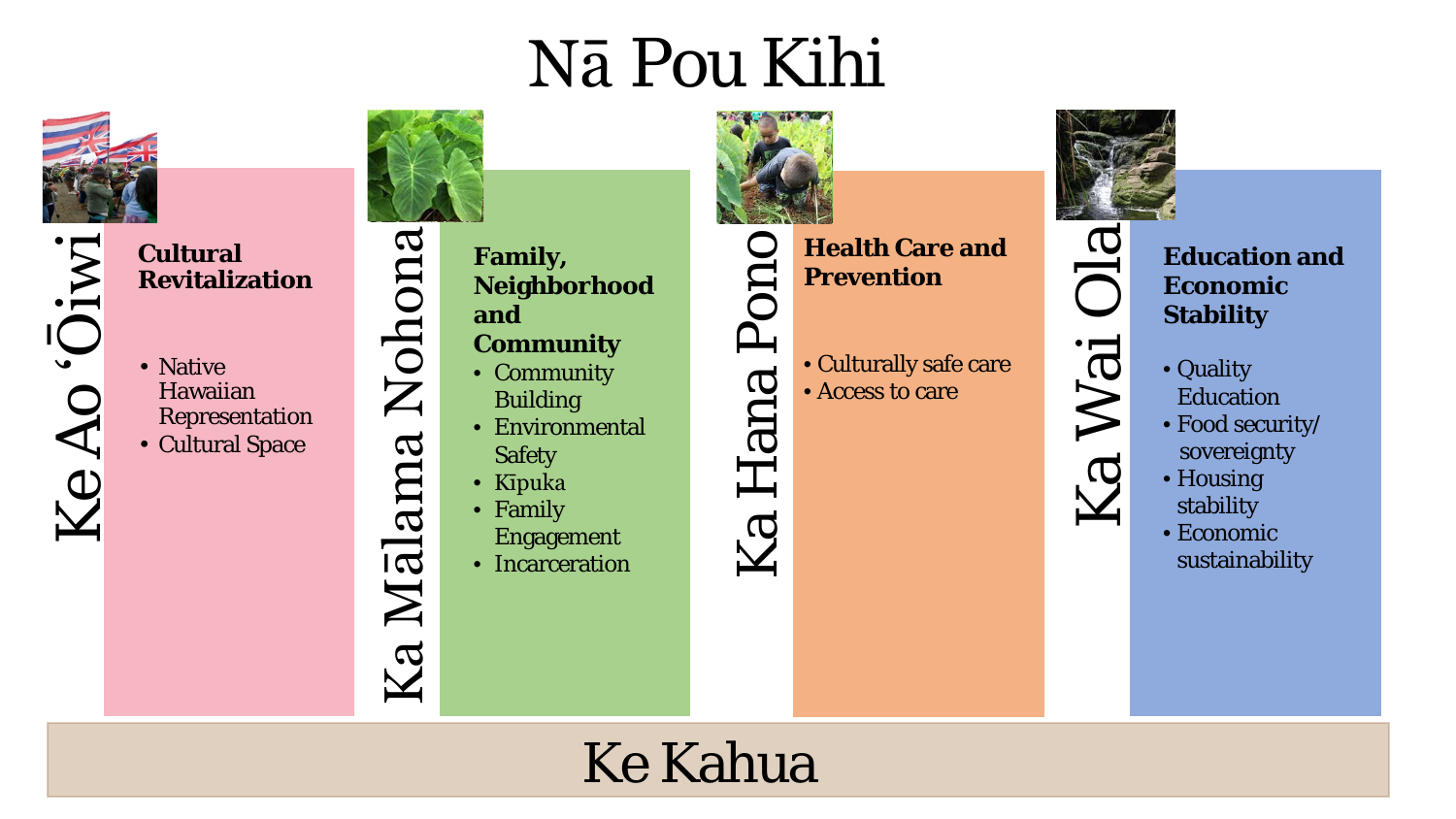# Nā Pou Kihi



**Revitalization**

Ke Ao 'Ōiwi**Cultural**  • Native Hawaiian

Representation • Cultural Space

**Family, Neighborhood and** 

#### **Community**

- Community Building
- Environmental Safety
- Kīpuka

Ka Mālama Nohona

Ka

Mālama Nohona

- Family
- Engagement • Incarceration



Pon

Hana

Ka

 $\bullet$ **Health Care and Prevention** 

> • Culturally safe care • Access to care



Ka Wai Ola

Ka Wai

 $Ola$ 

**Education and Economic Stability**

- Quality Education
- Food security/ sovereignty
- Housing stability
- Economic sustainability

#### Ke Kahua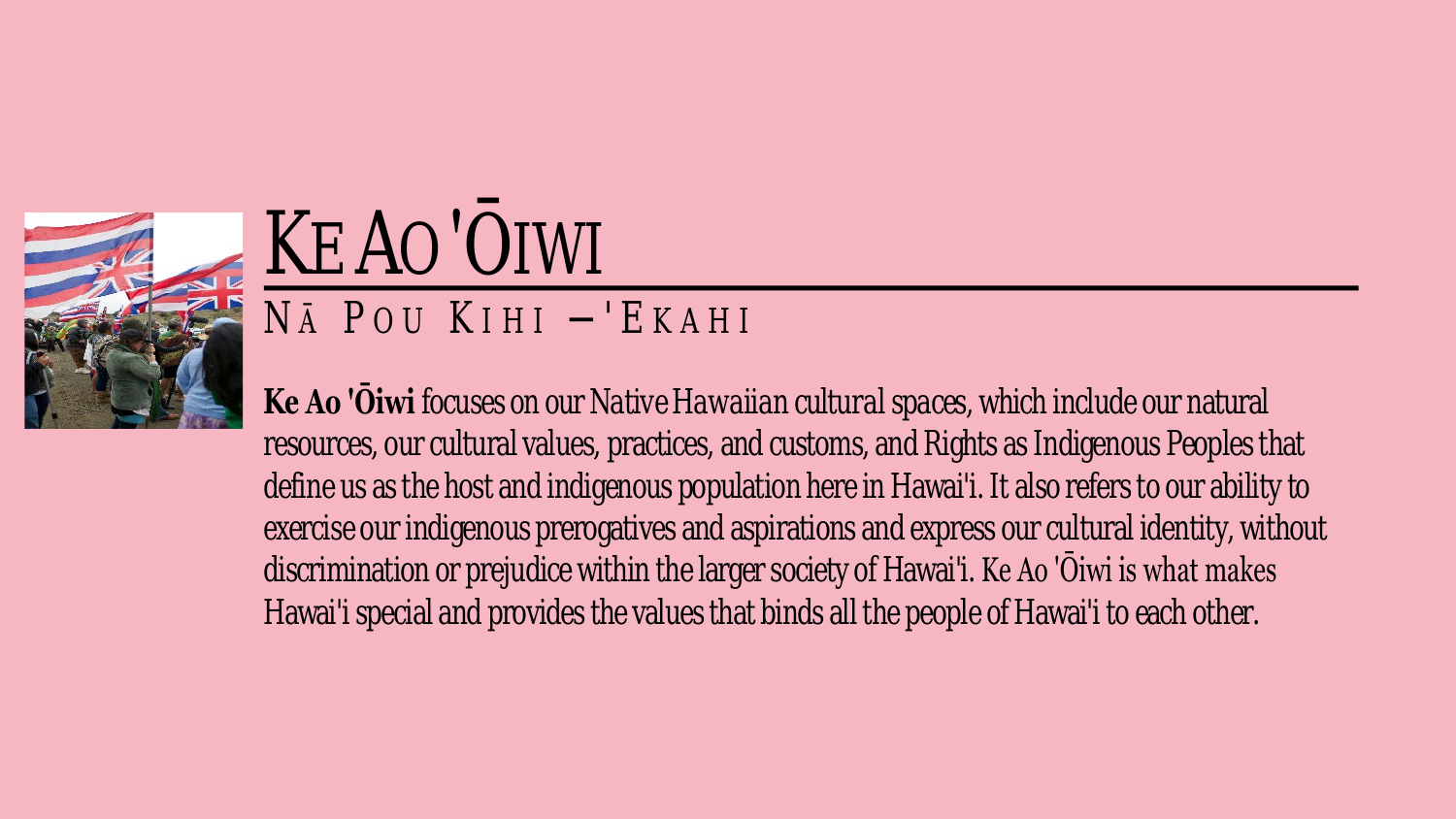

## KE AO 'ŌIWI NĀP OU KIHI — 'EKAHI

**Ke Ao 'Ōiwi** focuses on our *Native Hawaiian cultural spaces*, which include our natural resources, our cultural values, practices, and customs, and Rights as Indigenous Peoples that define us as the host and indigenous population here in Hawai'i. It also refers to our ability to exercise our indigenous prerogatives and aspirations and express our cultural identity, without discrimination or prejudice within the larger society of Hawai'i. Ke Ao 'Ōiwi is what makes Hawai'i special and provides the values that binds all the people of Hawai'i to each other.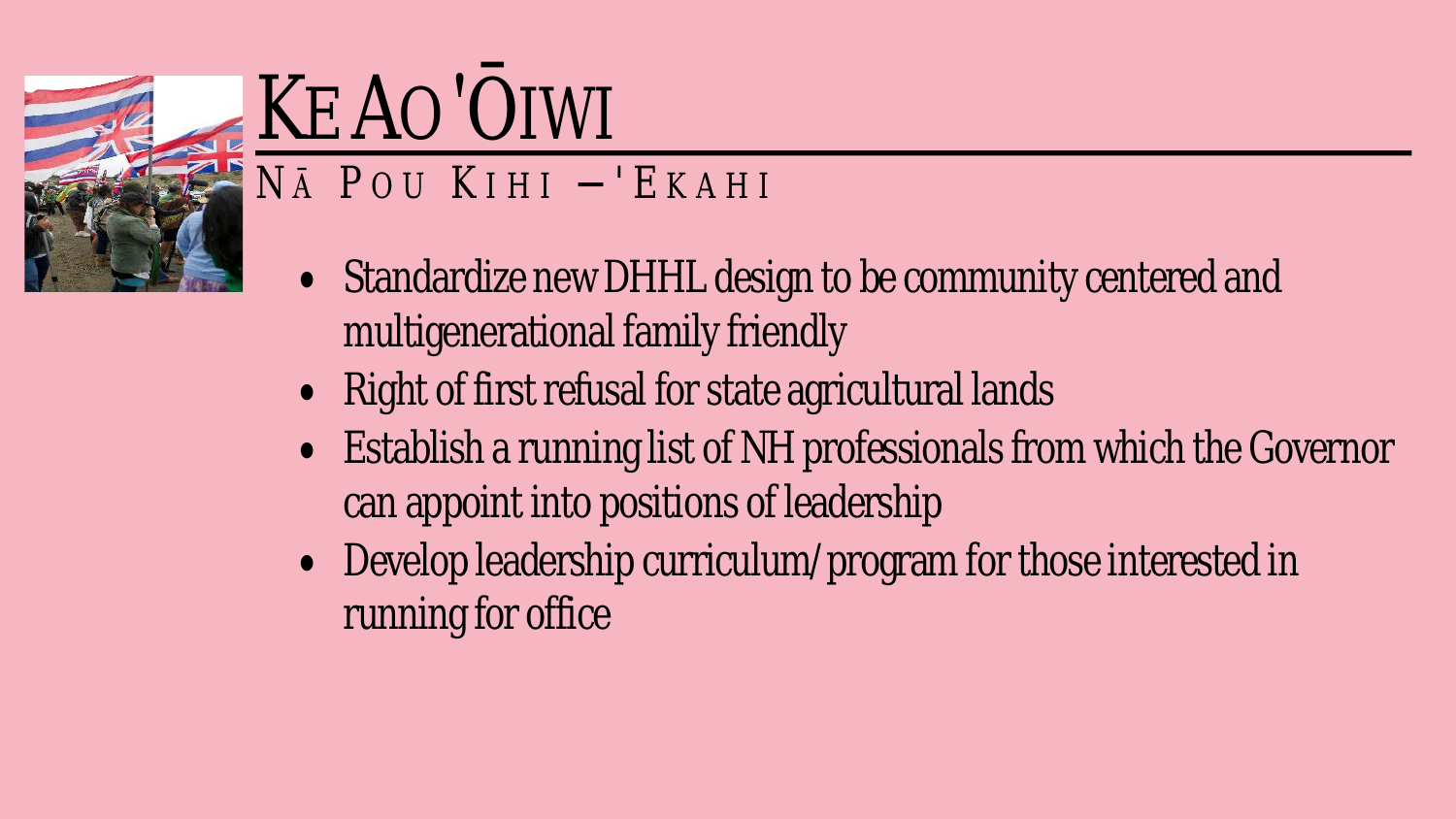

# KE AO 'OIWI

#### NĀ POU KIHI -'EKAHI

- Standardize new DHHL design to be community centered and multigenerational family friendly
- Right of first refusal for state agricultural lands
- Establish a running list of NH professionals from which the Governor can appoint into positions of leadership
- Develop leadership curriculum/program for those interested in running for office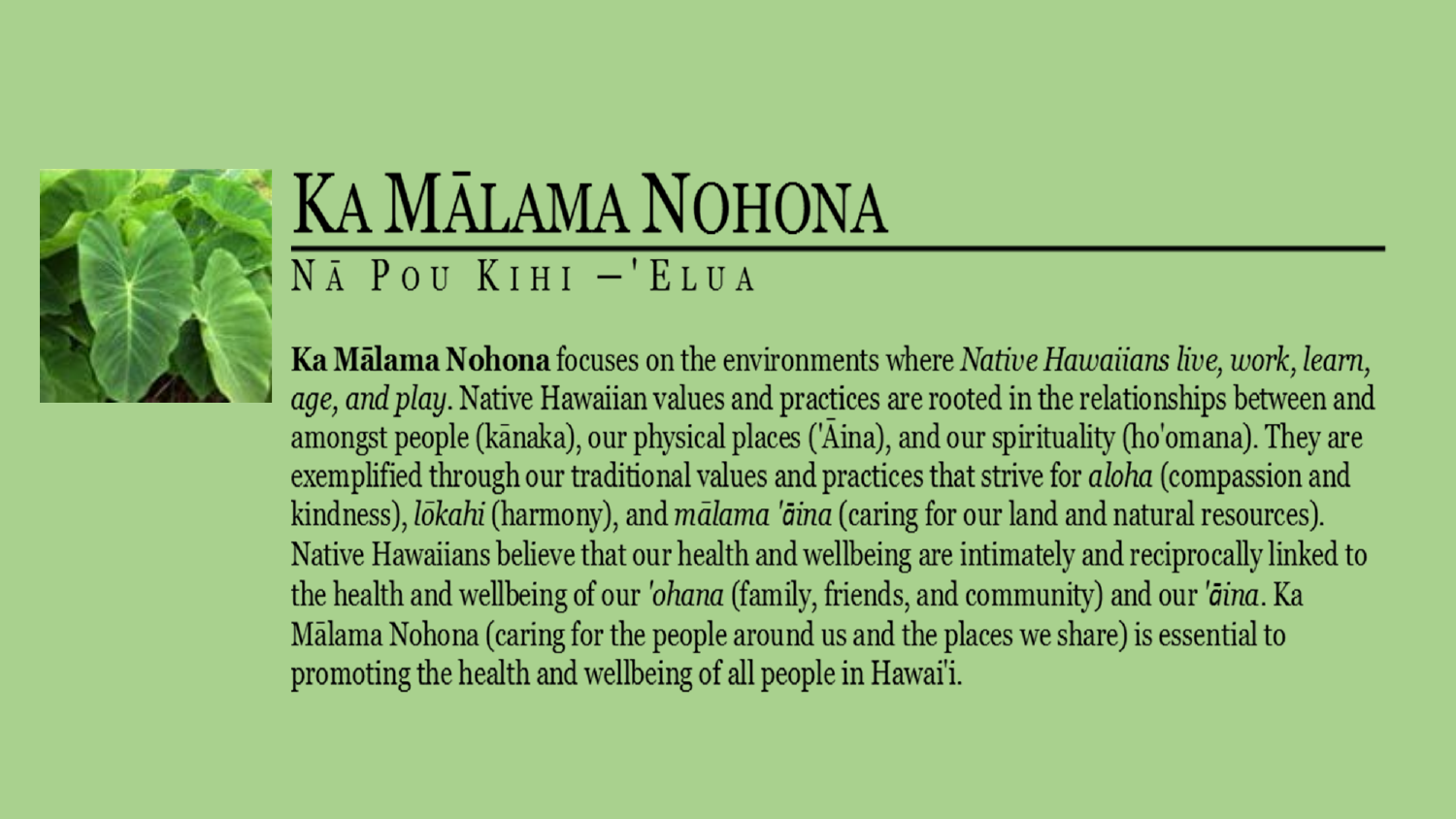

### KA MĀLAMA NOHONA  $N\bar{A}$  POU KIHI  $-$ 'ELUA

**Ka Mālama Nohona** focuses on the environments where Native Hawaiians live, work, learn, *age, and play.* Native Hawaiian values and practices are rooted in the relationships between and amongst people (kānaka), our physical places ('Aina), and our spirituality (ho'omana). They are exemplified through our traditional values and practices that strive for aloha (compassion and kindness), *lokahi* (harmony), and *malama 'aina* (caring for our land and natural resources). Native Hawaiians believe that our health and wellbeing are intimately and reciprocally linked to the health and wellbeing of our 'ohana (family, friends, and community) and our 'āina. Ka Mālama Nohona (caring for the people around us and the places we share) is essential to promoting the health and wellbeing of all people in Hawai'i.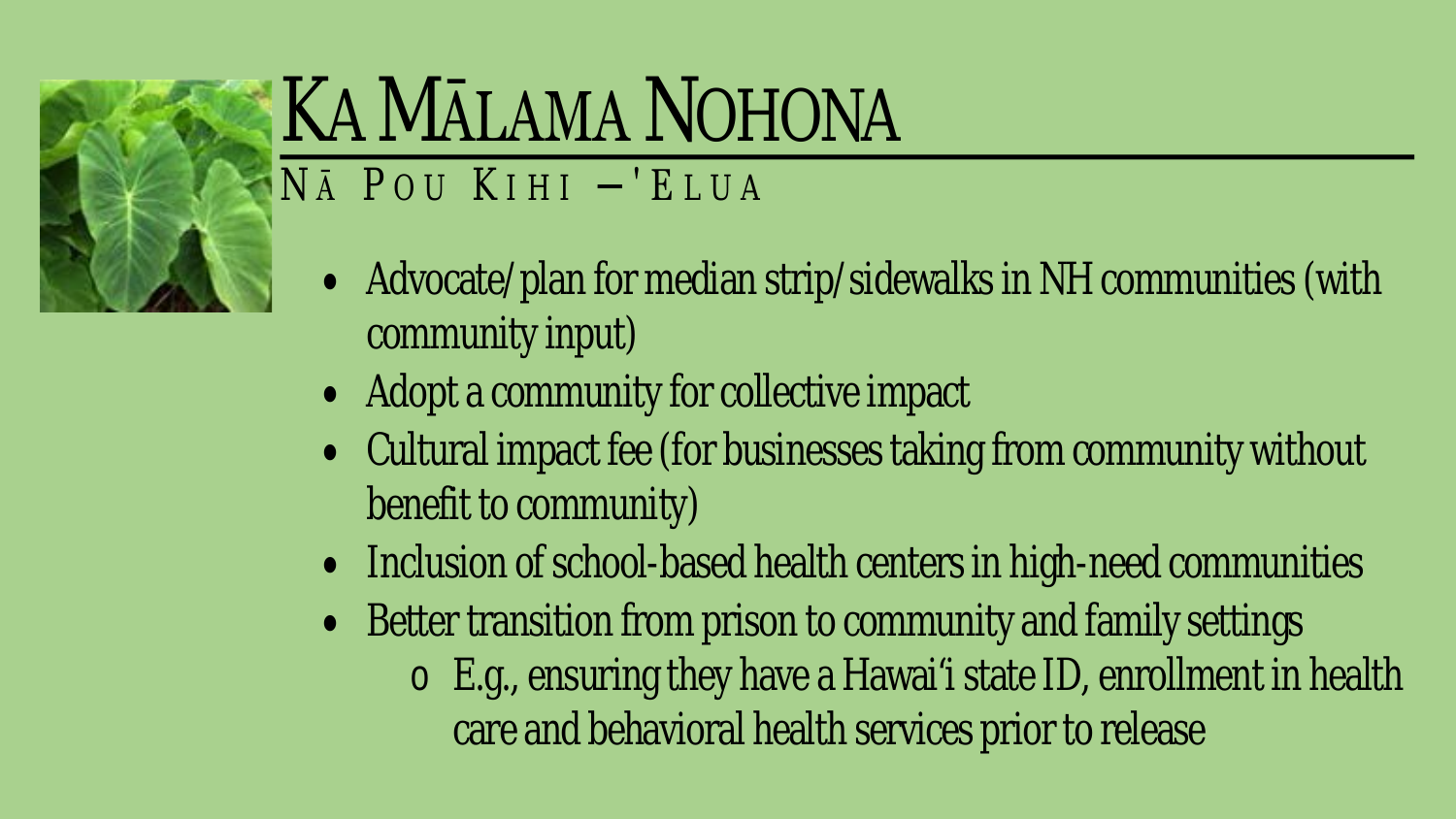

### KA MĀLAMA NOHONA  $N\bar{A}$  POU KIHI -'ELUA

### • Advocate/plan for median strip/sidewalks in NH communities (with community input)

- Adopt a community for collective impact
- Cultural impact fee (for businesses taking from community without benefit to community)
- Inclusion of school-based health centers in high-need communities
- Better transition from prison to community and family settings
	- $\circ$  E.g., ensuring they have a Hawai'i state ID, enrollment in health care and behavioral health services prior to release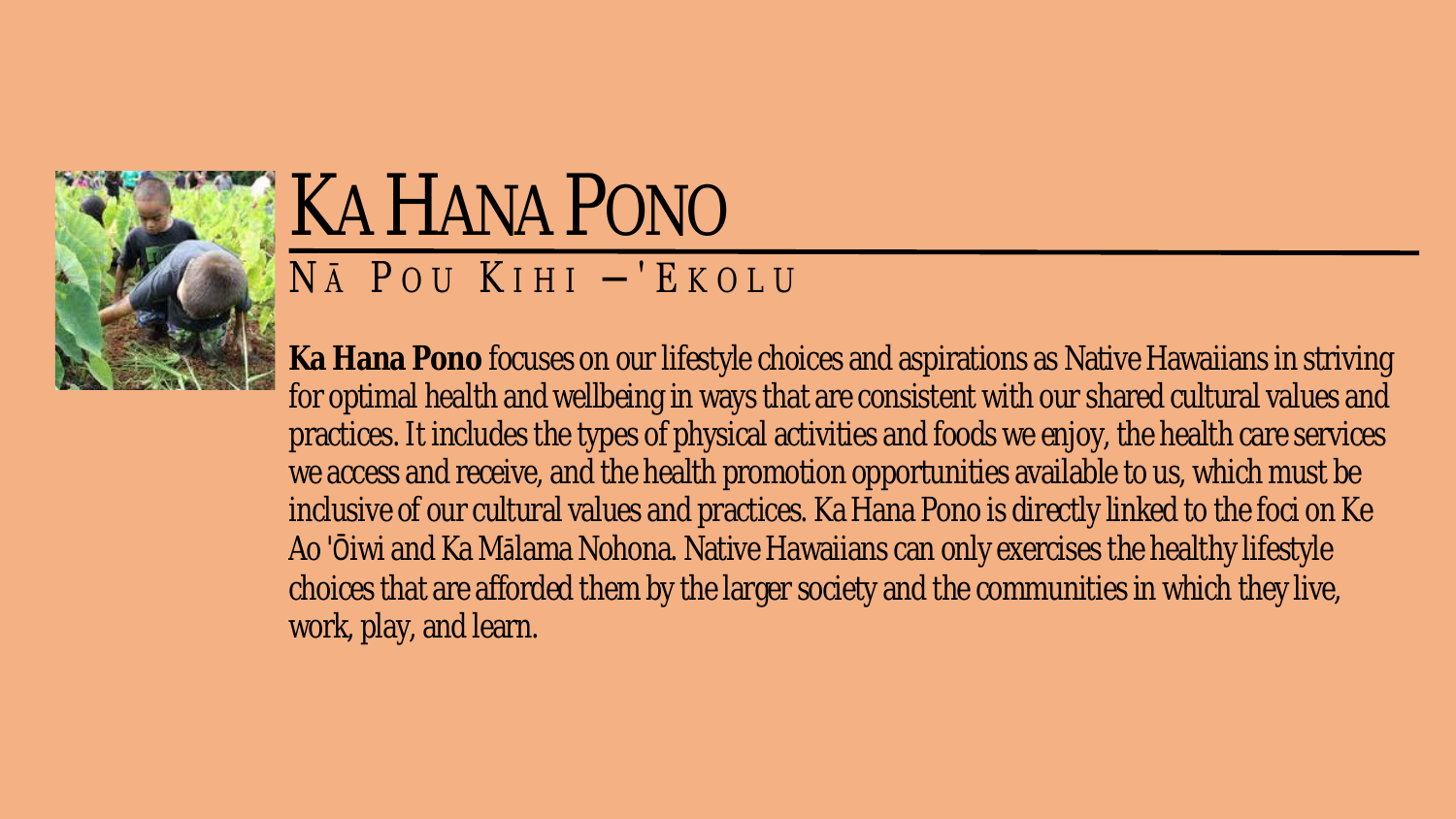

### KA HANA PONO N <sup>Ā</sup>P OU K IHI ─'E KOLU

**Ka Hana Pono** focuses on our lifestyle choices and aspirations as Native Hawaiians in striving for optimal health and wellbeing in ways that are consistent with our shared cultural values and practices. It includes the types of physical activities and foods we enjoy, the health care services we access and receive, and the health promotion opportunities available to us, which must be inclusive of our cultural values and practices. Ka Hana Pono is directly linked to the foci on Ke Ao 'Ōiwi and Ka Mālama Nohona. Native Hawaiians can only exercises the healthy lifestyle choices that are afforded them by the larger society and the communities in which they live, work, play, and learn.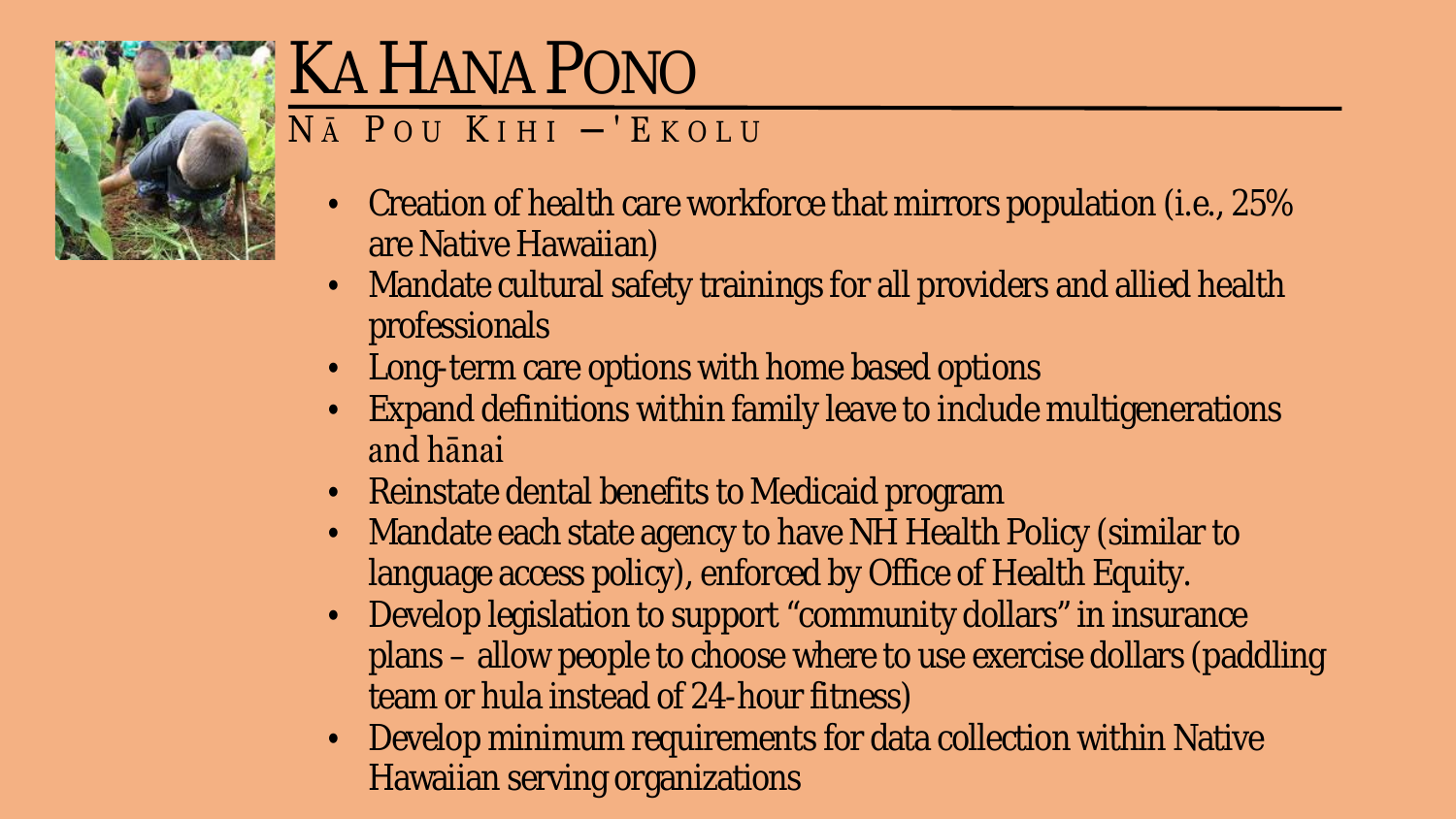

# **KA HANA PONO**

#### $N\bar{A}$  POU KIHI -'EKOLU

- Creation of health care workforce that mirrors population (i.e., 25%  $\bullet$  . are Native Hawaiian)
- Mandate cultural safety trainings for all providers and allied health professionals
- Long-term care options with home based options
- Expand definitions within family leave to include multigenerations and hanai
- Reinstate dental benefits to Medicaid program
- Mandate each state agency to have NH Health Policy (similar to language access policy), enforced by Office of Health Equity.
- Develop legislation to support "community dollars" in insurance plans – allow people to choose where to use exercise dollars (paddling team or hula instead of 24-hour fitness)
- Develop minimum requirements for data collection within Native **Hawaiian serving organizations**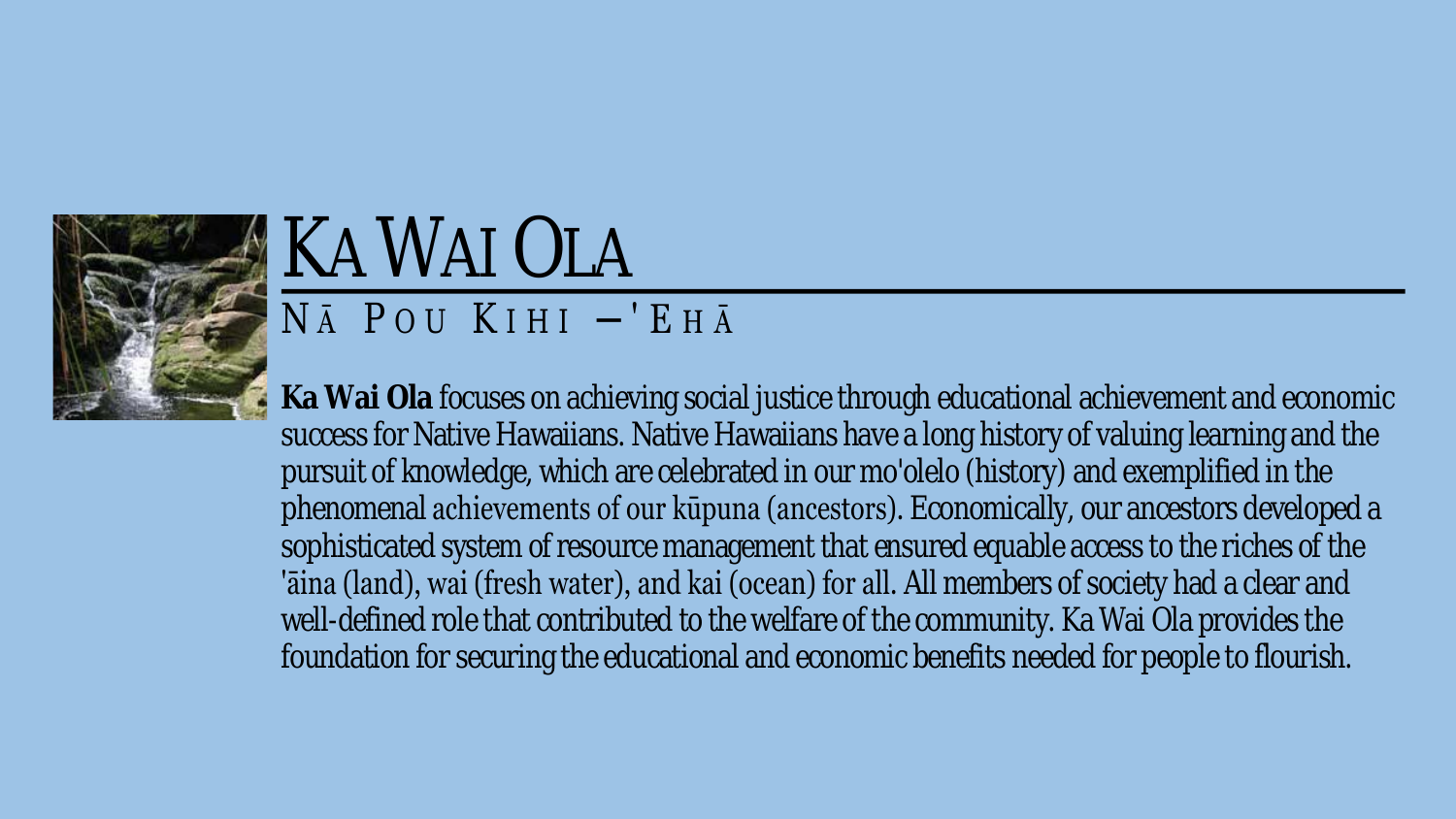

# KA WAI OLA

#### $N \bar{A}$  POU KIHI  $-$ 'EH $\bar{A}$

**Ka Wai Ola** focuses on achieving social justice through educational achievement and economic success for Native Hawaiians. Native Hawaiians have a long history of valuing learning and the pursuit of knowledge, which are celebrated in our mo'olelo (history) and exemplified in the phenomenal achievements of our kūpuna (ancestors). Economically, our ancestors developed a sophisticated system of resource management that ensured equable access to the riches of the 'āina (land), wai (fresh water), and kai (ocean) for all. All members of society had a clear and well-defined role that contributed to the welfare of the community. Ka Wai Ola provides the foundation for securing the educational and economic benefits needed for people to flourish.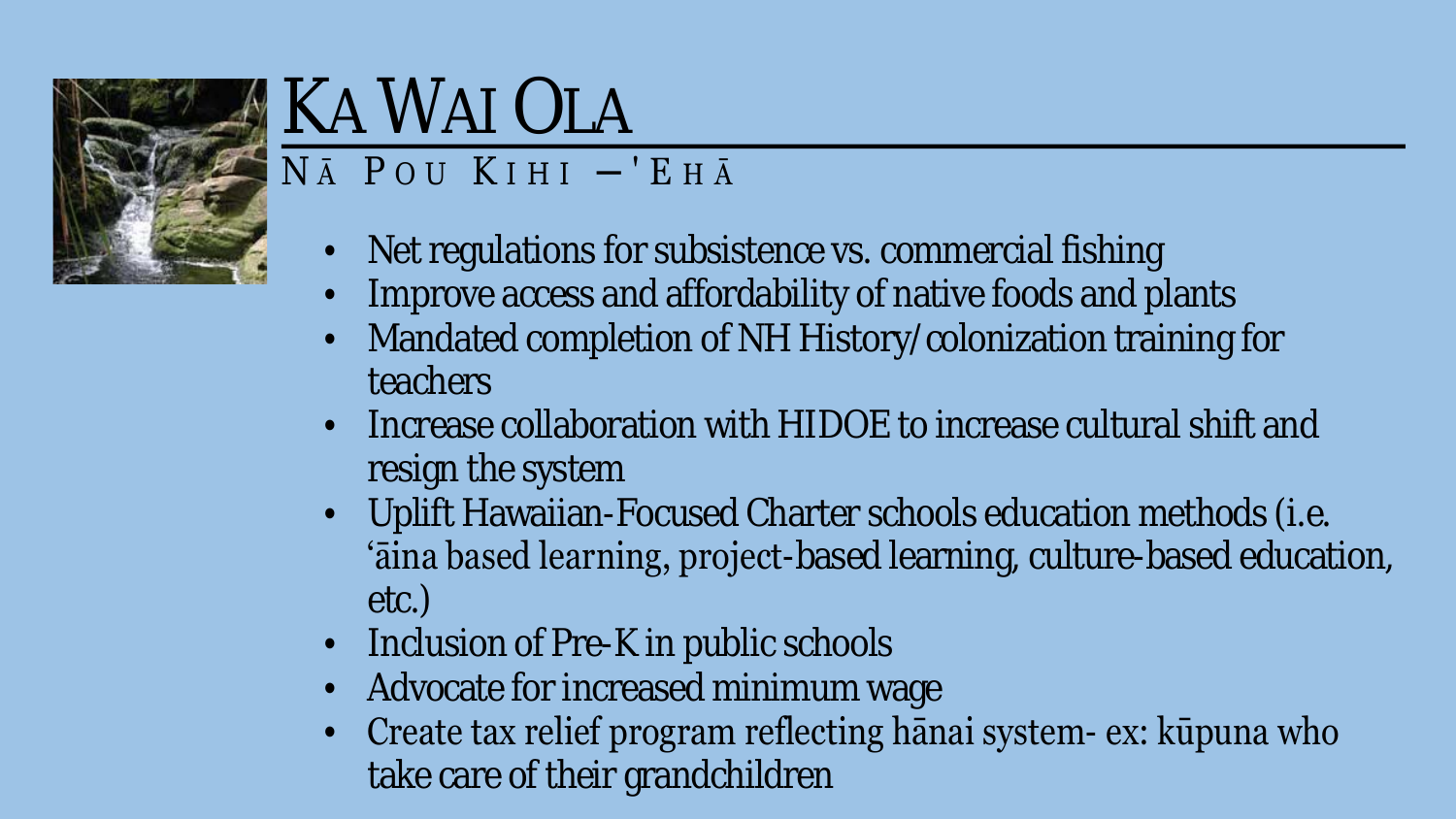

# **KA WAI OLA**

#### $N\bar{A}$  POU KIHI  $-$ 'EH $\bar{A}$

- Net regulations for subsistence vs. commercial fishing
- Improve access and affordability of native foods and plants
- Mandated completion of NH History/colonization training for teachers
- Increase collaboration with HIDOE to increase cultural shift and resign the system
- Uplift Hawaiian-Focused Charter schools education methods (i.e. 'aina based learning, project-based learning, culture-based education, etc.)
- Inclusion of Pre-K in public schools
- Advocate for increased minimum wage
- Create tax relief program reflecting hanai system- ex: kūpuna who take care of their grandchildren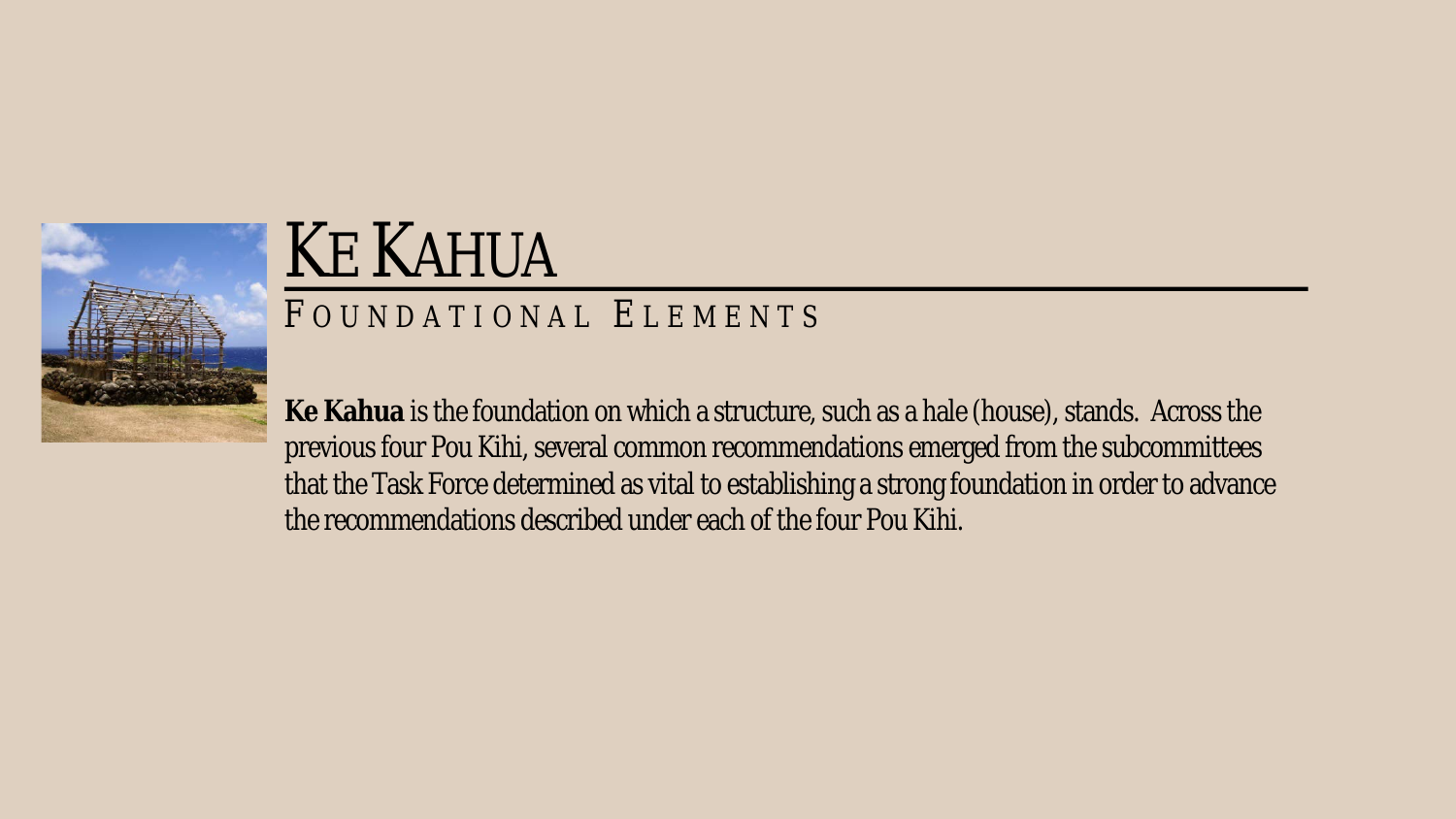

# KE KAHUA

#### F OUNDATIONAL E LEMENTS

**Ke Kahua** is the foundation on which a structure, such as a hale (house), stands. Across the previous four Pou Kihi, several common recommendations emerged from the subcommittees that the Task Force determined as vital to establishing a strong foundation in order to advance the recommendations described under each of the four Pou Kihi.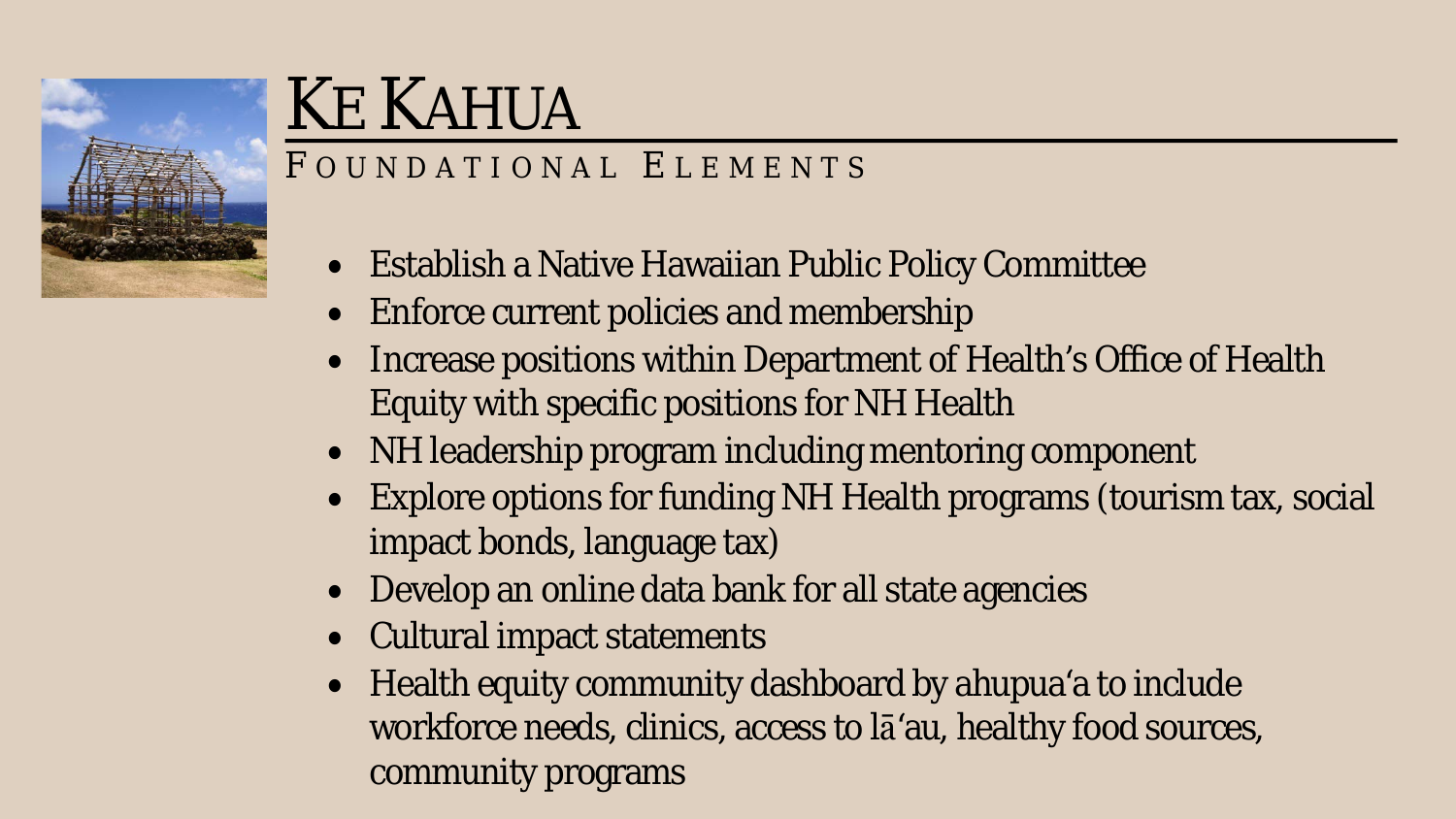

## KE KAHUA

#### FOUNDATIONAL ELEMENTS

- Establish a Native Hawaiian Public Policy Committee
- Enforce current policies and membership
- Increase positions within Department of Health's Office of Health Equity with specific positions for NH Health
- NH leadership program including mentoring component
- Explore options for funding NH Health programs (tourism tax, social impact bonds, language tax)
- Develop an online data bank for all state agencies
- Cultural impact statements
- Health equity community dashboard by ahupua'a to include workforce needs, clinics, access to lā'au, healthy food sources, community programs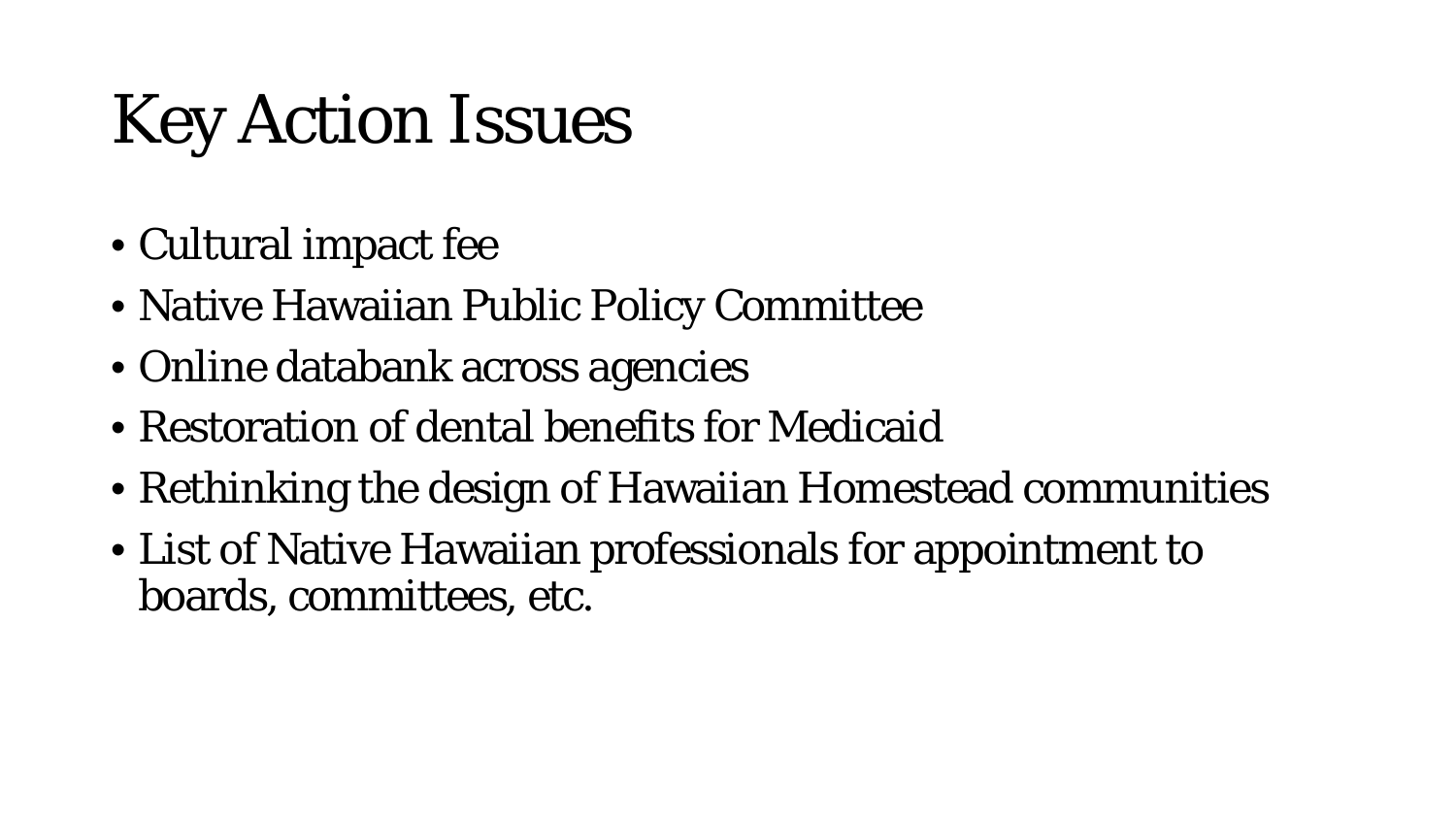# Key Action Issues

- Cultural impact fee
- Native Hawaiian Public Policy Committee
- Online databank across agencies
- Restoration of dental benefits for Medicaid
- Rethinking the design of Hawaiian Homestead communities
- List of Native Hawaiian professionals for appointment to boards, committees, etc.